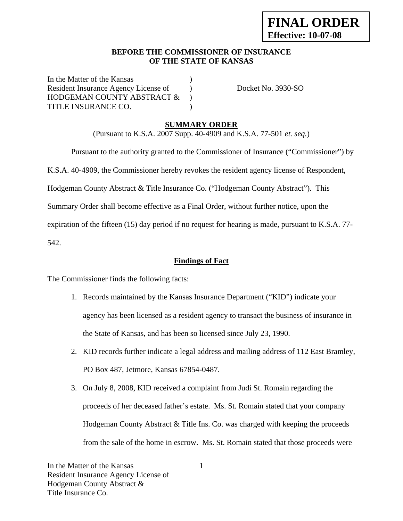## **BEFORE THE COMMISSIONER OF INSURANCE OF THE STATE OF KANSAS**

In the Matter of the Kansas Resident Insurance Agency License of Docket No. 3930-SO HODGEMAN COUNTY ABSTRACT  $\&$  ) TITLE INSURANCE CO.

# **SUMMARY ORDER**

(Pursuant to K.S.A. 2007 Supp. 40-4909 and K.S.A. 77-501 *et. seq.*)

 Pursuant to the authority granted to the Commissioner of Insurance ("Commissioner") by K.S.A. 40-4909, the Commissioner hereby revokes the resident agency license of Respondent, Hodgeman County Abstract & Title Insurance Co. ("Hodgeman County Abstract"). This Summary Order shall become effective as a Final Order, without further notice, upon the expiration of the fifteen (15) day period if no request for hearing is made, pursuant to K.S.A. 77-

542.

# **Findings of Fact**

The Commissioner finds the following facts:

- 1. Records maintained by the Kansas Insurance Department ("KID") indicate your agency has been licensed as a resident agency to transact the business of insurance in the State of Kansas, and has been so licensed since July 23, 1990.
- 2. KID records further indicate a legal address and mailing address of 112 East Bramley, PO Box 487, Jetmore, Kansas 67854-0487.
- 3. On July 8, 2008, KID received a complaint from Judi St. Romain regarding the proceeds of her deceased father's estate. Ms. St. Romain stated that your company Hodgeman County Abstract & Title Ins. Co. was charged with keeping the proceeds from the sale of the home in escrow. Ms. St. Romain stated that those proceeds were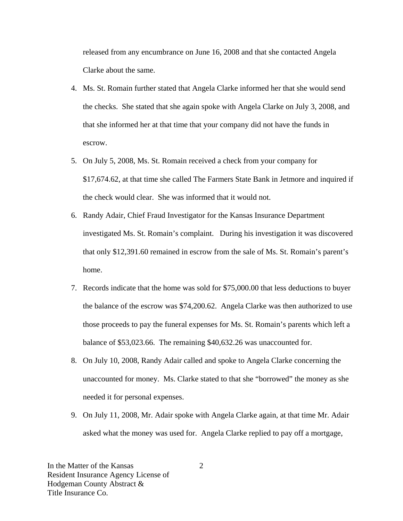released from any encumbrance on June 16, 2008 and that she contacted Angela Clarke about the same.

- 4. Ms. St. Romain further stated that Angela Clarke informed her that she would send the checks. She stated that she again spoke with Angela Clarke on July 3, 2008, and that she informed her at that time that your company did not have the funds in escrow.
- 5. On July 5, 2008, Ms. St. Romain received a check from your company for \$17,674.62, at that time she called The Farmers State Bank in Jetmore and inquired if the check would clear. She was informed that it would not.
- 6. Randy Adair, Chief Fraud Investigator for the Kansas Insurance Department investigated Ms. St. Romain's complaint. During his investigation it was discovered that only \$12,391.60 remained in escrow from the sale of Ms. St. Romain's parent's home.
- 7. Records indicate that the home was sold for \$75,000.00 that less deductions to buyer the balance of the escrow was \$74,200.62. Angela Clarke was then authorized to use those proceeds to pay the funeral expenses for Ms. St. Romain's parents which left a balance of \$53,023.66. The remaining \$40,632.26 was unaccounted for.
- 8. On July 10, 2008, Randy Adair called and spoke to Angela Clarke concerning the unaccounted for money. Ms. Clarke stated to that she "borrowed" the money as she needed it for personal expenses.
- 9. On July 11, 2008, Mr. Adair spoke with Angela Clarke again, at that time Mr. Adair asked what the money was used for. Angela Clarke replied to pay off a mortgage,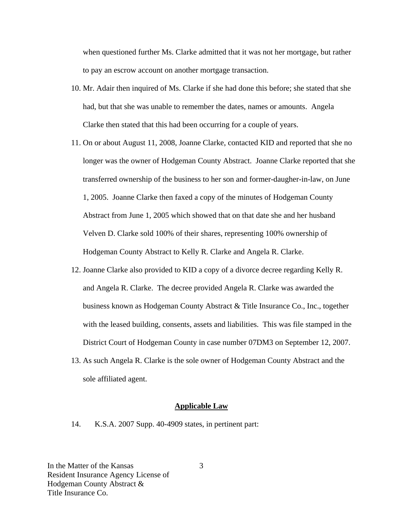when questioned further Ms. Clarke admitted that it was not her mortgage, but rather to pay an escrow account on another mortgage transaction.

- 10. Mr. Adair then inquired of Ms. Clarke if she had done this before; she stated that she had, but that she was unable to remember the dates, names or amounts. Angela Clarke then stated that this had been occurring for a couple of years.
- 11. On or about August 11, 2008, Joanne Clarke, contacted KID and reported that she no longer was the owner of Hodgeman County Abstract. Joanne Clarke reported that she transferred ownership of the business to her son and former-daugher-in-law, on June 1, 2005. Joanne Clarke then faxed a copy of the minutes of Hodgeman County Abstract from June 1, 2005 which showed that on that date she and her husband Velven D. Clarke sold 100% of their shares, representing 100% ownership of Hodgeman County Abstract to Kelly R. Clarke and Angela R. Clarke.
- 12. Joanne Clarke also provided to KID a copy of a divorce decree regarding Kelly R. and Angela R. Clarke. The decree provided Angela R. Clarke was awarded the business known as Hodgeman County Abstract & Title Insurance Co., Inc., together with the leased building, consents, assets and liabilities. This was file stamped in the District Court of Hodgeman County in case number 07DM3 on September 12, 2007.
- 13. As such Angela R. Clarke is the sole owner of Hodgeman County Abstract and the sole affiliated agent.

#### **Applicable Law**

14. K.S.A. 2007 Supp. 40-4909 states, in pertinent part:

In the Matter of the Kansas Resident Insurance Agency License of Hodgeman County Abstract & Title Insurance Co.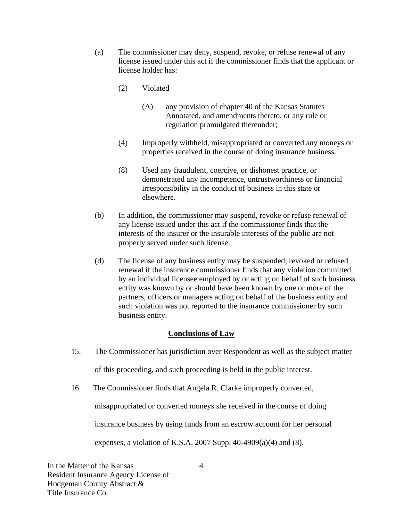- (a) The commissioner may deny, suspend, revoke, or refuse renewal of any license issued under this act if the commissioner finds that the applicant or license holder has:
	- (2) Violated
		- (A) any provision of chapter 40 of the Kansas Statutes Annotated, and amendments thereto, or any rule or regulation promulgated thereunder;
	- (4) Improperly withheld, misappropriated or converted any moneys or properties received in the course of doing insurance business.
	- (8) Used any fraudulent, coercive, or dishonest practice, or demonstrated any incompetence, untrustworthiness or financial irresponsibility in the conduct of business in this state or elsewhere.
- (b) In addition, the commissioner may suspend, revoke or refuse renewal of any license issued under this act if the commissioner finds that the interests of the insurer or the insurable interests of the public are not properly served under such license.
- (d) The license of any business entity may be suspended, revoked or refused renewal if the insurance commissioner finds that any violation committed by an individual licensee employed by or acting on behalf of such business entity was known by or should have been known by one or more of the partners, officers or managers acting on behalf of the business entity and such violation was not reported to the insurance commissioner by such business entity.

### **Conclusions of Law**

15. The Commissioner has jurisdiction over Respondent as well as the subject matter

of this proceeding, and such proceeding is held in the public interest.

16. The Commissioner finds that Angela R. Clarke improperly converted,

misappropriated or converted moneys she received in the course of doing

insurance business by using funds from an escrow account for her personal

expenses, a violation of K.S.A. 2007 Supp.  $40-4909(a)(4)$  and  $(8)$ .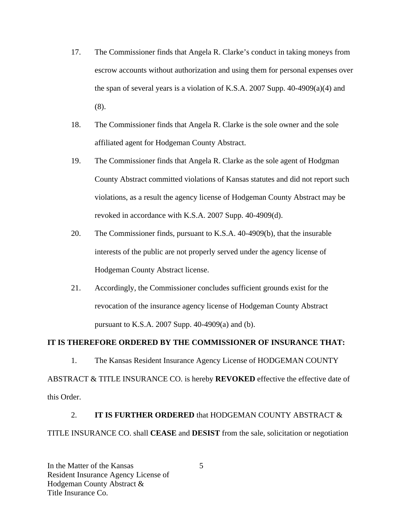- 17. The Commissioner finds that Angela R. Clarke's conduct in taking moneys from escrow accounts without authorization and using them for personal expenses over the span of several years is a violation of K.S.A. 2007 Supp. 40-4909(a)(4) and (8).
- 18. The Commissioner finds that Angela R. Clarke is the sole owner and the sole affiliated agent for Hodgeman County Abstract.
- 19. The Commissioner finds that Angela R. Clarke as the sole agent of Hodgman County Abstract committed violations of Kansas statutes and did not report such violations, as a result the agency license of Hodgeman County Abstract may be revoked in accordance with K.S.A. 2007 Supp. 40-4909(d).
- 20. The Commissioner finds, pursuant to K.S.A. 40-4909(b), that the insurable interests of the public are not properly served under the agency license of Hodgeman County Abstract license.
- 21. Accordingly, the Commissioner concludes sufficient grounds exist for the revocation of the insurance agency license of Hodgeman County Abstract pursuant to K.S.A. 2007 Supp. 40-4909(a) and (b).

# **IT IS THEREFORE ORDERED BY THE COMMISSIONER OF INSURANCE THAT:**

1. The Kansas Resident Insurance Agency License of HODGEMAN COUNTY ABSTRACT & TITLE INSURANCE CO. is hereby **REVOKED** effective the effective date of this Order.

2. **IT IS FURTHER ORDERED** that HODGEMAN COUNTY ABSTRACT & TITLE INSURANCE CO. shall **CEASE** and **DESIST** from the sale, solicitation or negotiation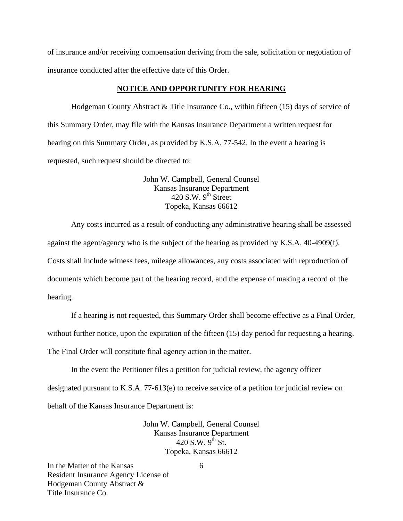of insurance and/or receiving compensation deriving from the sale, solicitation or negotiation of insurance conducted after the effective date of this Order.

#### **NOTICE AND OPPORTUNITY FOR HEARING**

Hodgeman County Abstract & Title Insurance Co., within fifteen (15) days of service of this Summary Order, may file with the Kansas Insurance Department a written request for hearing on this Summary Order, as provided by K.S.A. 77-542. In the event a hearing is requested, such request should be directed to:

> John W. Campbell, General Counsel Kansas Insurance Department  $420$  S.W. 9<sup>th</sup> Street Topeka, Kansas 66612

Any costs incurred as a result of conducting any administrative hearing shall be assessed against the agent/agency who is the subject of the hearing as provided by K.S.A. 40-4909(f). Costs shall include witness fees, mileage allowances, any costs associated with reproduction of documents which become part of the hearing record, and the expense of making a record of the hearing.

If a hearing is not requested, this Summary Order shall become effective as a Final Order,

without further notice, upon the expiration of the fifteen (15) day period for requesting a hearing.

The Final Order will constitute final agency action in the matter.

In the event the Petitioner files a petition for judicial review, the agency officer designated pursuant to K.S.A. 77-613(e) to receive service of a petition for judicial review on behalf of the Kansas Insurance Department is:

> John W. Campbell, General Counsel Kansas Insurance Department 420 S.W.  $9^{th}$  St. Topeka, Kansas 66612

In the Matter of the Kansas Resident Insurance Agency License of Hodgeman County Abstract & Title Insurance Co.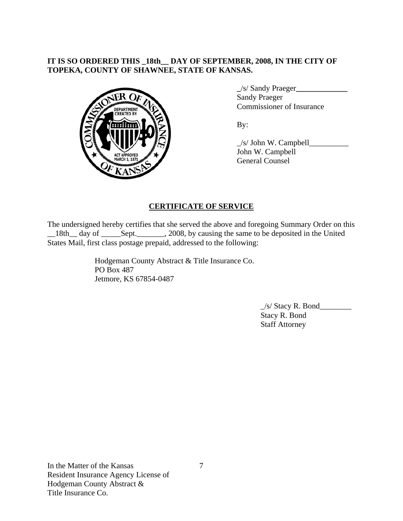# **IT IS SO ORDERED THIS \_18th\_\_ DAY OF SEPTEMBER, 2008, IN THE CITY OF TOPEKA, COUNTY OF SHAWNEE, STATE OF KANSAS.**



 **\_**/s/ Sandy Praeger**\_\_\_\_\_\_\_\_\_\_\_\_\_** Sandy Praeger Commissioner of Insurance

 $\angle$ s/ John W. Campbell $\angle$  John W. Campbell General Counsel

# **CERTIFICATE OF SERVICE**

The undersigned hereby certifies that she served the above and foregoing Summary Order on this \_\_18th\_\_ day of \_\_\_\_\_Sept.\_\_\_\_\_\_\_, 2008, by causing the same to be deposited in the United States Mail, first class postage prepaid, addressed to the following:

> Hodgeman County Abstract & Title Insurance Co. PO Box 487 Jetmore, KS 67854-0487

> > $\angle$ s/ Stacy R. Bond $\angle$  Stacy R. Bond Staff Attorney